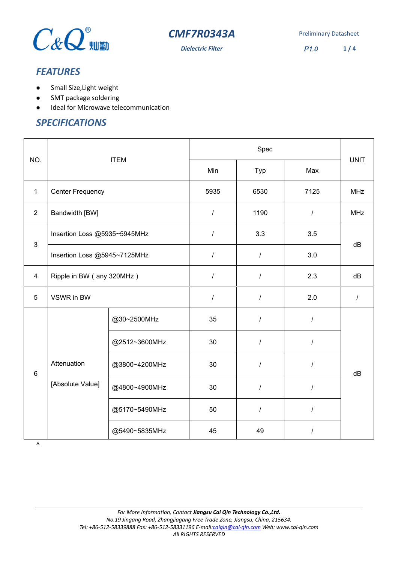

**Dielectric Filter** P1.0

**1 / 4**

# *FEATURES*

- Small Size,Light weight
- SMT package soldering
- **Ideal for Microwave telecommunication**

## *SPECIFICATIONS*

| NO.            | <b>ITEM</b>                     |               | Spec                 |                  |                  |             |
|----------------|---------------------------------|---------------|----------------------|------------------|------------------|-------------|
|                |                                 |               | Min                  | Typ              | Max              | <b>UNIT</b> |
| $\mathbf{1}$   | <b>Center Frequency</b>         |               | 5935                 | 6530             | 7125             | <b>MHz</b>  |
| $\overline{2}$ | Bandwidth [BW]                  |               | $\overline{I}$       | 1190             | $\boldsymbol{I}$ | <b>MHz</b>  |
| 3              | Insertion Loss @5935~5945MHz    |               | I                    | 3.3              | 3.5              | dB          |
|                | Insertion Loss @5945~7125MHz    |               | $\sqrt{2}$           | $\cal I$         | 3.0              |             |
| $\overline{4}$ | Ripple in BW (any 320MHz)       |               | $\sqrt{\phantom{a}}$ | $\sqrt{2}$       | 2.3              | dB          |
| 5              | VSWR in BW                      |               | $\overline{I}$       | $\boldsymbol{I}$ | 2.0              | $\prime$    |
| $6\phantom{1}$ | Attenuation<br>[Absolute Value] | @30~2500MHz   | 35                   | $\boldsymbol{I}$ | $\sqrt{2}$       | dB          |
|                |                                 | @2512~3600MHz | 30                   | $\sqrt{2}$       | $\prime$         |             |
|                |                                 | @3800~4200MHz | 30                   | $\cal I$         | $\overline{I}$   |             |
|                |                                 | @4800~4900MHz | 30                   | $\cal I$         | I                |             |
|                |                                 | @5170~5490MHz | 50                   | $\overline{I}$   | $\prime$         |             |
|                |                                 | @5490~5835MHz | 45                   | 49               | $\prime$         |             |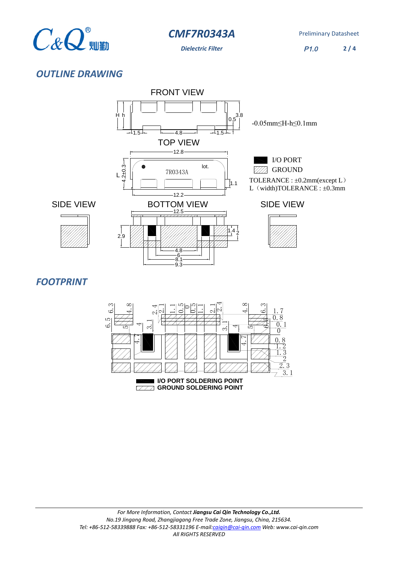

**Dielectric Filter** P1.0 **2 / 4**

## *OUTLINE DRAWING*



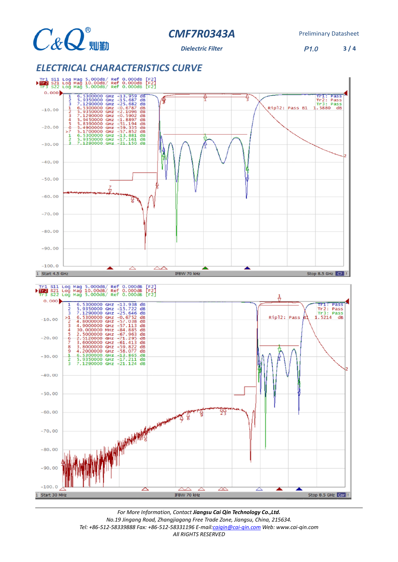

**Dielectric Filter** P1.0 **3 / 4**

#### *ELECTRICAL CHARACTERISTICS CURVE*